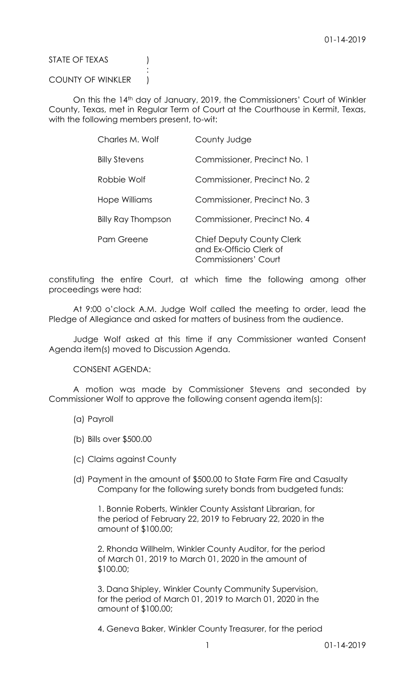STATE OF TEXAS (

COUNTY OF WINKLER |

:

On this the 14th day of January, 2019, the Commissioners' Court of Winkler County, Texas, met in Regular Term of Court at the Courthouse in Kermit, Texas, with the following members present, to-wit:

| Charles M. Wolf           | County Judge                                                                        |
|---------------------------|-------------------------------------------------------------------------------------|
| <b>Billy Stevens</b>      | Commissioner, Precinct No. 1                                                        |
| Robbie Wolf               | Commissioner, Precinct No. 2                                                        |
| Hope Williams             | Commissioner, Precinct No. 3                                                        |
| <b>Billy Ray Thompson</b> | Commissioner, Precinct No. 4                                                        |
| Pam Greene                | Chief Deputy County Clerk<br>and Ex-Officio Clerk of<br><b>Commissioners' Court</b> |

constituting the entire Court, at which time the following among other proceedings were had:

At 9:00 o'clock A.M. Judge Wolf called the meeting to order, lead the Pledge of Allegiance and asked for matters of business from the audience.

Judge Wolf asked at this time if any Commissioner wanted Consent Agenda item(s) moved to Discussion Agenda.

CONSENT AGENDA:

A motion was made by Commissioner Stevens and seconded by Commissioner Wolf to approve the following consent agenda item(s):

- (a) Payroll
- (b) Bills over \$500.00
- (c) Claims against County
- (d) Payment in the amount of \$500.00 to State Farm Fire and Casualty Company for the following surety bonds from budgeted funds:

1. Bonnie Roberts, Winkler County Assistant Librarian, for the period of February 22, 2019 to February 22, 2020 in the amount of \$100.00;

2. Rhonda Willhelm, Winkler County Auditor, for the period of March 01, 2019 to March 01, 2020 in the amount of \$100.00;

3. Dana Shipley, Winkler County Community Supervision, for the period of March 01, 2019 to March 01, 2020 in the amount of \$100.00;

4. Geneva Baker, Winkler County Treasurer, for the period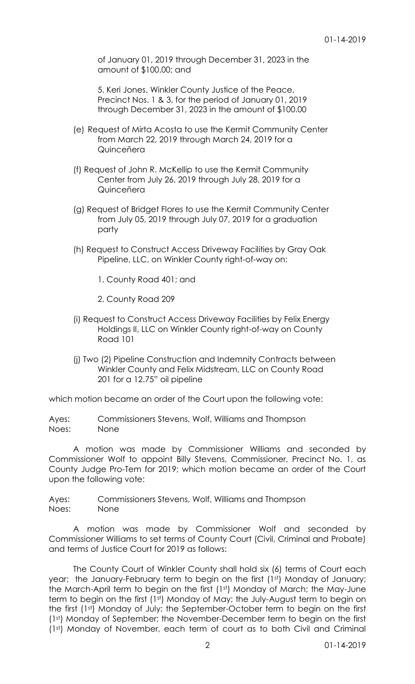of January 01, 2019 through December 31, 2023 in the amount of \$100.00; and

5. Keri Jones, Winkler County Justice of the Peace, Precinct Nos. 1 & 3, for the period of January 01, 2019 through December 31, 2023 in the amount of \$100.00

- (e) Request of Mirta Acosta to use the Kermit Community Center from March 22, 2019 through March 24, 2019 for a Quinceñera
- (f) Request of John R. McKellip to use the Kermit Community Center from July 26, 2019 through July 28, 2019 for a Quinceñera
- (g) Request of Bridget Flores to use the Kermit Community Center from July 05, 2019 through July 07, 2019 for a graduation party
- (h) Request to Construct Access Driveway Facilities by Gray Oak Pipeline, LLC, on Winkler County right-of-way on:

1. County Road 401; and

2. County Road 209

- (i) Request to Construct Access Driveway Facilities by Felix Energy Holdings II, LLC on Winkler County right-of-way on County Road 101
- (j) Two (2) Pipeline Construction and Indemnity Contracts between Winkler County and Felix Midstream, LLC on County Road 201 for a 12.75" oil pipeline

which motion became an order of the Court upon the following vote:

Ayes: Commissioners Stevens, Wolf, Williams and Thompson Noes: None

A motion was made by Commissioner Williams and seconded by Commissioner Wolf to appoint Billy Stevens, Commissioner, Precinct No. 1, as County Judge Pro-Tem for 2019; which motion became an order of the Court upon the following vote:

Ayes: Commissioners Stevens, Wolf, Williams and Thompson Noes: None

A motion was made by Commissioner Wolf and seconded by Commissioner Williams to set terms of County Court (Civil, Criminal and Probate) and terms of Justice Court for 2019 as follows:

The County Court of Winkler County shall hold six (6) terms of Court each year; the January-February term to begin on the first (1st) Monday of January; the March-April term to begin on the first (1st) Monday of March; the May-June term to begin on the first (1st) Monday of May; the July-August term to begin on the first (1st) Monday of July; the September-October term to begin on the first (1st) Monday of September; the November-December term to begin on the first (1st) Monday of November, each term of court as to both Civil and Criminal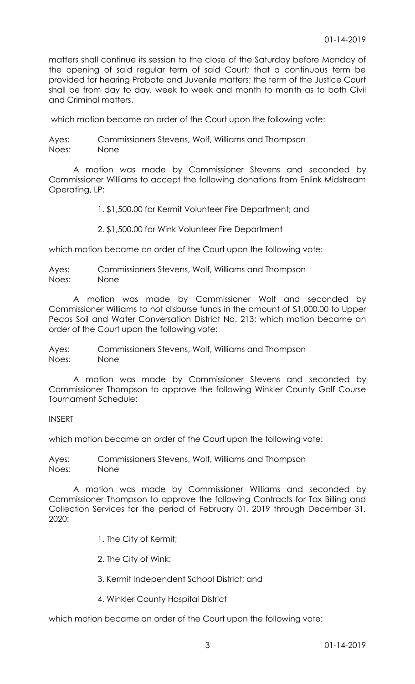matters shall continue its session to the close of the Saturday before Monday of the opening of said regular term of said Court; that a continuous term be provided for hearing Probate and Juvenile matters; the term of the Justice Court shall be from day to day, week to week and month to month as to both Civil and Criminal matters.

which motion became an order of the Court upon the following vote:

Ayes: Commissioners Stevens, Wolf, Williams and Thompson Noes: None

A motion was made by Commissioner Stevens and seconded by Commissioner Williams to accept the following donations from Enlink Midstream Operating, LP:

1. \$1,500.00 for Kermit Volunteer Fire Department; and

2. \$1,500.00 for Wink Volunteer Fire Department

which motion became an order of the Court upon the following vote:

Ayes: Commissioners Stevens, Wolf, Williams and Thompson Noes: None

A motion was made by Commissioner Wolf and seconded by Commissioner Williams to not disburse funds in the amount of \$1,000.00 to Upper Pecos Soil and Water Conversation District No. 213; which motion became an order of the Court upon the following vote:

Ayes: Commissioners Stevens, Wolf, Williams and Thompson Noes: None

A motion was made by Commissioner Stevens and seconded by Commissioner Thompson to approve the following Winkler County Golf Course Tournament Schedule:

INSERT

which motion became an order of the Court upon the following vote:

Ayes: Commissioners Stevens, Wolf, Williams and Thompson Noes: None

A motion was made by Commissioner Williams and seconded by Commissioner Thompson to approve the following Contracts for Tax Billing and Collection Services for the period of February 01, 2019 through December 31, 2020:

- 1. The City of Kermit;
- 2. The City of Wink;
- 3. Kermit Independent School District; and
- 4. Winkler County Hospital District

which motion became an order of the Court upon the following vote: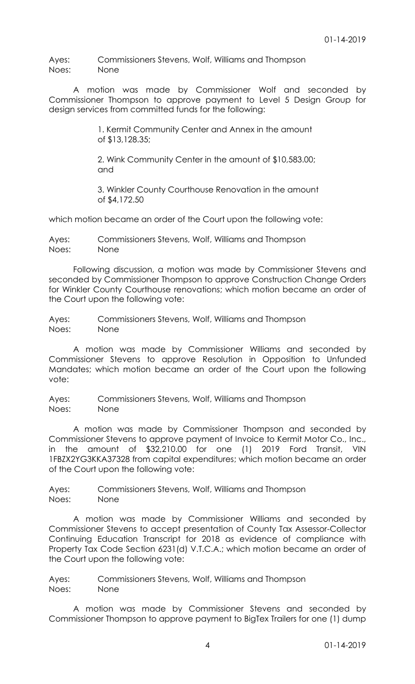Ayes: Commissioners Stevens, Wolf, Williams and Thompson Noes: None

A motion was made by Commissioner Wolf and seconded by Commissioner Thompson to approve payment to Level 5 Design Group for design services from committed funds for the following:

> 1. Kermit Community Center and Annex in the amount of \$13,128.35;

2. Wink Community Center in the amount of \$10,583.00; and

3. Winkler County Courthouse Renovation in the amount of \$4,172.50

which motion became an order of the Court upon the following vote:

Ayes: Commissioners Stevens, Wolf, Williams and Thompson Noes: None

Following discussion, a motion was made by Commissioner Stevens and seconded by Commissioner Thompson to approve Construction Change Orders for Winkler County Courthouse renovations; which motion became an order of the Court upon the following vote:

Ayes: Commissioners Stevens, Wolf, Williams and Thompson Noes: None

A motion was made by Commissioner Williams and seconded by Commissioner Stevens to approve Resolution in Opposition to Unfunded Mandates; which motion became an order of the Court upon the following vote:

Ayes: Commissioners Stevens, Wolf, Williams and Thompson Noes: None

A motion was made by Commissioner Thompson and seconded by Commissioner Stevens to approve payment of Invoice to Kermit Motor Co., Inc., in the amount of \$32,210.00 for one (1) 2019 Ford Transit, VIN 1FBZX2YG3KKA37328 from capital expenditures; which motion became an order of the Court upon the following vote:

Ayes: Commissioners Stevens, Wolf, Williams and Thompson Noes: None

A motion was made by Commissioner Williams and seconded by Commissioner Stevens to accept presentation of County Tax Assessor-Collector Continuing Education Transcript for 2018 as evidence of compliance with Property Tax Code Section 6231(d) V.T.C.A.; which motion became an order of the Court upon the following vote:

Ayes: Commissioners Stevens, Wolf, Williams and Thompson Noes: None

A motion was made by Commissioner Stevens and seconded by Commissioner Thompson to approve payment to BigTex Trailers for one (1) dump